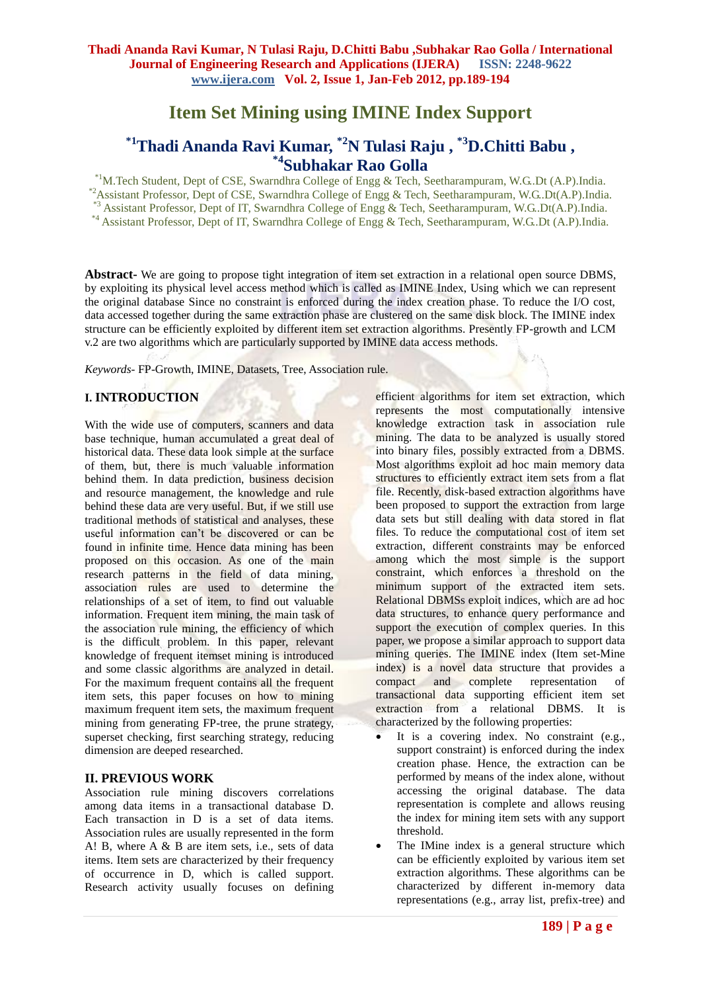# **Item Set Mining using IMINE Index Support**

# **\*1Thadi Ananda Ravi Kumar, \*2N Tulasi Raju , \*3D.Chitti Babu , \*4Subhakar Rao Golla**

\*1M.Tech Student, Dept of CSE, Swarndhra College of Engg & Tech, Seetharampuram, W.G..Dt (A.P).India. \*2Assistant Professor, Dept of CSE, Swarndhra College of Engg & Tech, Seetharampuram, W.G..Dt(A.P).India. \*3 Assistant Professor, Dept of IT, Swarndhra College of Engg & Tech, Seetharampuram, W.G..Dt(A.P).India. \*4 Assistant Professor, Dept of IT, Swarndhra College of Engg & Tech, Seetharampuram, W.G..Dt (A.P).India.

**Abstract-** We are going to propose tight integration of item set extraction in a relational open source DBMS, by exploiting its physical level access method which is called as IMINE Index, Using which we can represent the original database Since no constraint is enforced during the index creation phase. To reduce the I/O cost, data accessed together during the same extraction phase are clustered on the same disk block. The IMINE index structure can be efficiently exploited by different item set extraction algorithms. Presently FP-growth and LCM v.2 are two algorithms which are particularly supported by IMINE data access methods.

*Keywords-* FP-Growth, IMINE, Datasets, Tree, Association rule.

## **I. INTRODUCTION**

With the wide use of computers, scanners and data base technique, human accumulated a great deal of historical data. These data look simple at the surface of them, but, there is much valuable information behind them. In data prediction, business decision and resource management, the knowledge and rule behind these data are very useful. But, if we still use traditional methods of statistical and analyses, these useful information can't be discovered or can be found in infinite time. Hence data mining has been proposed on this occasion. As one of the main research patterns in the field of data mining, association rules are used to determine the relationships of a set of item, to find out valuable information. Frequent item mining, the main task of the association rule mining, the efficiency of which is the difficult problem. In this paper, relevant knowledge of frequent itemset mining is introduced and some classic algorithms are analyzed in detail. For the maximum frequent contains all the frequent item sets, this paper focuses on how to mining maximum frequent item sets, the maximum frequent mining from generating FP-tree, the prune strategy, superset checking, first searching strategy, reducing dimension are deeped researched.

## **II. PREVIOUS WORK**

Association rule mining discovers correlations among data items in a transactional database D. Each transaction in D is a set of data items. Association rules are usually represented in the form A! B, where A & B are item sets, i.e., sets of data items. Item sets are characterized by their frequency of occurrence in D, which is called support. Research activity usually focuses on defining efficient algorithms for item set extraction, which represents the most computationally intensive knowledge extraction task in association rule mining. The data to be analyzed is usually stored into binary files, possibly extracted from a DBMS. Most algorithms exploit ad hoc main memory data structures to efficiently extract item sets from a flat file. Recently, disk-based extraction algorithms have been proposed to support the extraction from large data sets but still dealing with data stored in flat files. To reduce the computational cost of item set extraction, different constraints may be enforced among which the most simple is the support constraint, which enforces a threshold on the minimum support of the extracted item sets. Relational DBMSs exploit indices, which are ad hoc data structures, to enhance query performance and support the execution of complex queries. In this paper, we propose a similar approach to support data mining queries. The IMINE index (Item set-Mine index) is a novel data structure that provides a compact and complete representation of transactional data supporting efficient item set extraction from a relational DBMS. It is characterized by the following properties:

- It is a covering index. No constraint (e.g., support constraint) is enforced during the index creation phase. Hence, the extraction can be performed by means of the index alone, without accessing the original database. The data representation is complete and allows reusing the index for mining item sets with any support threshold.
- The IMine index is a general structure which can be efficiently exploited by various item set extraction algorithms. These algorithms can be characterized by different in-memory data representations (e.g., array list, prefix-tree) and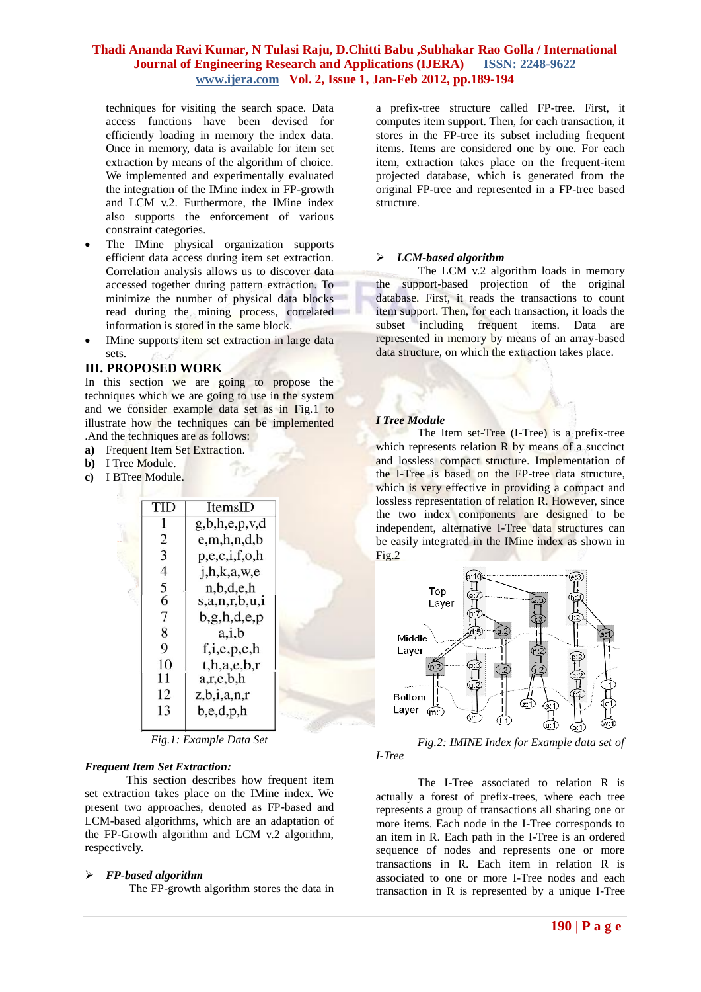techniques for visiting the search space. Data access functions have been devised for efficiently loading in memory the index data. Once in memory, data is available for item set extraction by means of the algorithm of choice. We implemented and experimentally evaluated the integration of the IMine index in FP-growth and LCM v.2. Furthermore, the IMine index also supports the enforcement of various constraint categories.

- The IMine physical organization supports efficient data access during item set extraction. Correlation analysis allows us to discover data accessed together during pattern extraction. To minimize the number of physical data blocks read during the mining process, correlated information is stored in the same block.
- IMine supports item set extraction in large data sets.

#### **III. PROPOSED WORK**

In this section we are going to propose the techniques which we are going to use in the system and we consider example data set as in Fig.1 to illustrate how the techniques can be implemented .And the techniques are as follows:

- **a)** Frequent Item Set Extraction.
- **b)** I Tree Module.
- **c)** I BTree Module.

|                          | ItemsID          |  |
|--------------------------|------------------|--|
|                          | g,b,h,e,p,v,d    |  |
| $\overline{2}$           | e,m,h,n,d,b      |  |
| 3                        | p,e,c,i,f,o,h    |  |
| $\overline{\mathcal{L}}$ | i, h, k, a, w, e |  |
| 5                        | n,b,d,e,h        |  |
| $\overline{6}$           | s,a,n,r,b,u,i    |  |
| 7                        | b, g, h, d, e, p |  |
| 8                        | a, i, b          |  |
| 9                        | f, i, e, p, c, h |  |
| 10                       | t, h, a, e, b, r |  |
| 11                       | a,r,e,b,h        |  |
| 12                       | z, b, i, a, n, r |  |
| 13                       | b,e,d,p,h        |  |
|                          |                  |  |

*Fig.1: Example Data Set*

#### *Frequent Item Set Extraction:*

This section describes how frequent item set extraction takes place on the IMine index. We present two approaches, denoted as FP-based and LCM-based algorithms, which are an adaptation of the FP-Growth algorithm and LCM v.2 algorithm, respectively.

#### *FP-based algorithm*

The FP-growth algorithm stores the data in

a prefix-tree structure called FP-tree. First, it computes item support. Then, for each transaction, it stores in the FP-tree its subset including frequent items. Items are considered one by one. For each item, extraction takes place on the frequent-item projected database, which is generated from the original FP-tree and represented in a FP-tree based structure.

#### *LCM-based algorithm*

The LCM v.2 algorithm loads in memory the support-based projection of the original database. First, it reads the transactions to count item support. Then, for each transaction, it loads the subset including frequent items. Data are represented in memory by means of an array-based data structure, on which the extraction takes place.

#### *I Tree Module*

The Item set-Tree (I-Tree) is a prefix-tree which represents relation R by means of a succinct and lossless compact structure. Implementation of the I-Tree is based on the FP-tree data structure, which is very effective in providing a compact and lossless representation of relation R. However, since the two index components are designed to be independent, alternative I-Tree data structures can be easily integrated in the IMine index as shown in  $Fig.2$ 



*Fig.2: IMINE Index for Example data set of I-Tree*

The I-Tree associated to relation R is actually a forest of prefix-trees, where each tree represents a group of transactions all sharing one or more items. Each node in the I-Tree corresponds to an item in R. Each path in the I-Tree is an ordered sequence of nodes and represents one or more transactions in R. Each item in relation R is associated to one or more I-Tree nodes and each transaction in R is represented by a unique I-Tree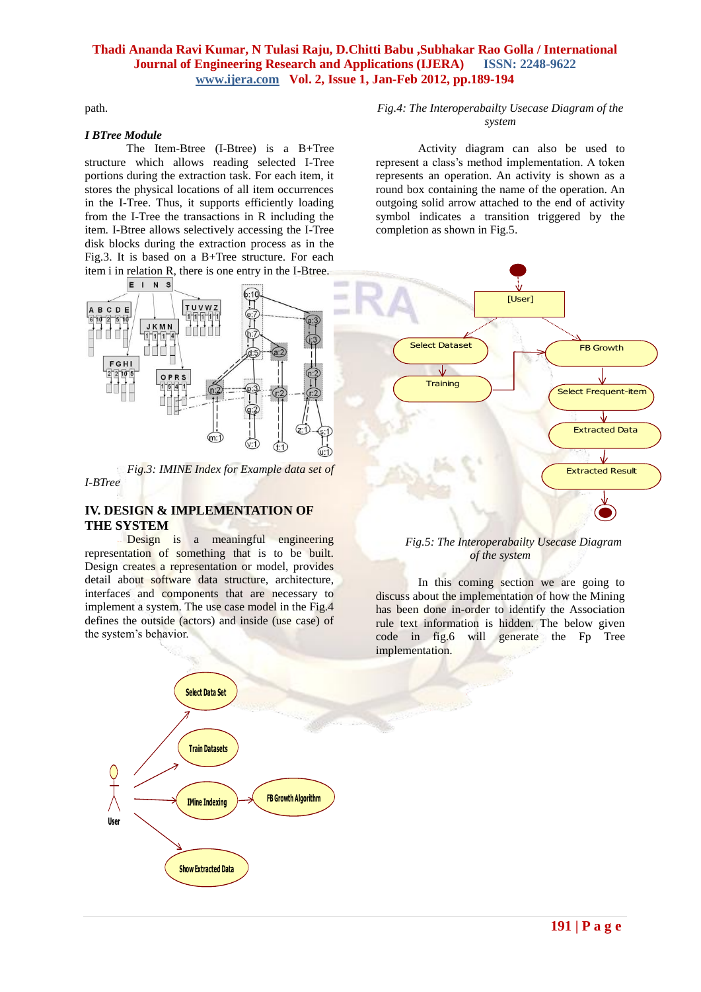path.

#### *I BTree Module*

The Item-Btree (I-Btree) is a B+Tree structure which allows reading selected I-Tree portions during the extraction task. For each item, it stores the physical locations of all item occurrences in the I-Tree. Thus, it supports efficiently loading from the I-Tree the transactions in R including the item. I-Btree allows selectively accessing the I-Tree disk blocks during the extraction process as in the Fig.3. It is based on a B+Tree structure. For each item i in relation R, there is one entry in the I-Btree.



*Fig.3: IMINE Index for Example data set of I-BTree*

## **IV. DESIGN & IMPLEMENTATION OF THE SYSTEM**

Design is a meaningful engineering representation of something that is to be built. Design creates a representation or model, provides detail about software data structure, architecture, interfaces and components that are necessary to implement a system. The use case model in the Fig.4 defines the outside (actors) and inside (use case) of the system's behavior.



#### *Fig.4: The Interoperabailty Usecase Diagram of the system*

Activity diagram can also be used to represent a class's method implementation. A token represents an operation. An activity is shown as a round box containing the name of the operation. An outgoing solid arrow attached to the end of activity symbol indicates a transition triggered by the completion as shown in Fig.5.



#### *Fig.5: The Interoperabailty Usecase Diagram of the system*

In this coming section we are going to discuss about the implementation of how the Mining has been done in-order to identify the Association rule text information is hidden. The below given code in fig.6 will generate the Fp Tree implementation.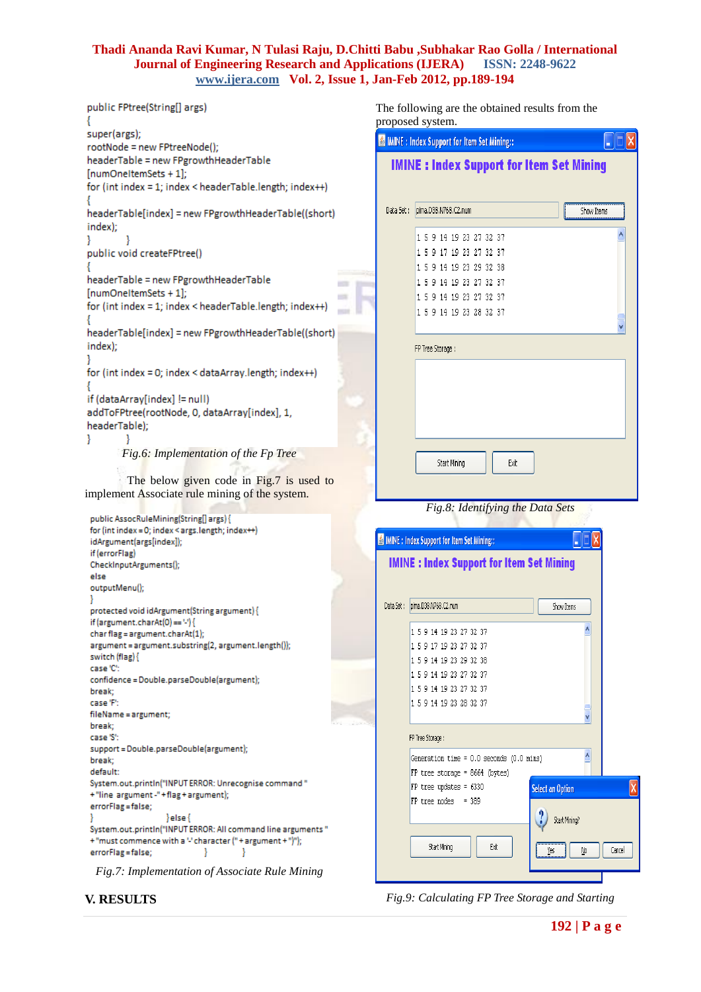```
public FPtree(String[] args)
super(args);
rootNode = new FPtreeNode();
headerTable = new FPgrowthHeaderTable
[numOneItemSets + 1];
for (int index = 1; index < headerTable.length; index++)
headerTable[index] = new FPgrowthHeaderTable((short)
index);
}
        I
public void createFPtree()
headerTable = new FPgrowthHeaderTable
                                                        m
[numOneItemSets + 1];
for (int index = 1; index < headerTable.length; index++)
headerTable[index] = new FPgrowthHeaderTable((short)
index);
for (int index = 0; index < dataArray.length; index++)
if (dataArray[index] != null)
addToFPtree(rootNode, 0, dataArray[index], 1,
headerTable);
ł
        -1
```
*Fig.6: Implementation of the Fp Tree*

The below given code in Fig.7 is used to implement Associate rule mining of the system.

```
public AssocRuleMining(String[] args) {
for (int index = 0; index < args.length; index\leftrightarrow)
idArgument(args[index]);
if (errorFlag)
CheckInputArguments();
else
outputMenu();
protected void idArgument(String argument) {
if (argument.charAt(0) == \vee) {
char flag = argument.charAt(1);
argument = argument.substring(2, argument.length());
switch (flag) {
case 'C'
confidence = Double.parseDouble(argument);
break;
case 'F':
fileName = argument;
break;
case 'S':
support = Double.parseDouble(argument);
break;
default
System.out.println("INPUT ERROR: Unrecognise command"
+"line argument -"+flag+argument);
errorFlag = false;
                    \left\{ else\left\{System.out.println("INPUT ERROR: All command line arguments"
+"must commence with a "character ("+argument +")");
errorFlag = false;
                               -1
                                         -1
```


**V. RESULTS**

The following are the obtained results from the proposed system.

| roposed system.                                   |                                                    |  |  |
|---------------------------------------------------|----------------------------------------------------|--|--|
| <b>MINE</b> : Index Support for Item Set Mining:: |                                                    |  |  |
|                                                   | <b>IMINE: Index Support for Item Set Mining</b>    |  |  |
|                                                   |                                                    |  |  |
|                                                   |                                                    |  |  |
| Data Set:                                         | Show Items<br>pima.D38.N768.C2.num                 |  |  |
|                                                   | 1 5 9 14 19 23 27 32 37                            |  |  |
|                                                   | 1 5 9 17 19 23 27 32 37                            |  |  |
|                                                   | 1 5 9 14 19 23 29 32 38                            |  |  |
|                                                   | 1 5 9 14 19 23 27 32 37<br>1 5 9 14 19 23 27 32 37 |  |  |
|                                                   | 1 5 9 14 19 23 28 32 37                            |  |  |
|                                                   |                                                    |  |  |
|                                                   | FP Tree Storage :                                  |  |  |
|                                                   |                                                    |  |  |
|                                                   |                                                    |  |  |
|                                                   |                                                    |  |  |
|                                                   |                                                    |  |  |
|                                                   |                                                    |  |  |
|                                                   |                                                    |  |  |
|                                                   | Start Mining<br>Exit                               |  |  |
|                                                   |                                                    |  |  |
|                                                   | Fig.8: Identifying the Data Sets                   |  |  |
|                                                   |                                                    |  |  |
|                                                   | MINE : Index Support for Item Set Mining::         |  |  |
|                                                   | <b>IMINE: Index Support for Item Set Mining</b>    |  |  |
|                                                   |                                                    |  |  |
|                                                   |                                                    |  |  |
| Data Set:                                         | pima.D38.N768.C2.num<br>Show Items                 |  |  |
|                                                   | 1 5 9 14 19 23 27 32 37                            |  |  |
|                                                   | 1 5 9 17 19 23 27 32 37                            |  |  |
|                                                   | 1 5 9 14 19 23 29 32 38                            |  |  |
|                                                   | 1 5 9 14 19 23 27 32 37                            |  |  |
|                                                   | 1 5 9 14 19 23 27 32 37                            |  |  |
|                                                   | 1 5 9 14 19 23 28 32 37                            |  |  |
|                                                   |                                                    |  |  |
|                                                   | FP Tree Storage :                                  |  |  |
|                                                   | Generation time = 0.0 seconds (0.0 mins)           |  |  |

 $FP$  tree storage = 8664 (bytes) FP tree updates = 6330 **Select an Option**  $FP$  tree nodes = 389 Start Mining? Start Mining Exit Cancel Yes No

*Fig.9: Calculating FP Tree Storage and Starting*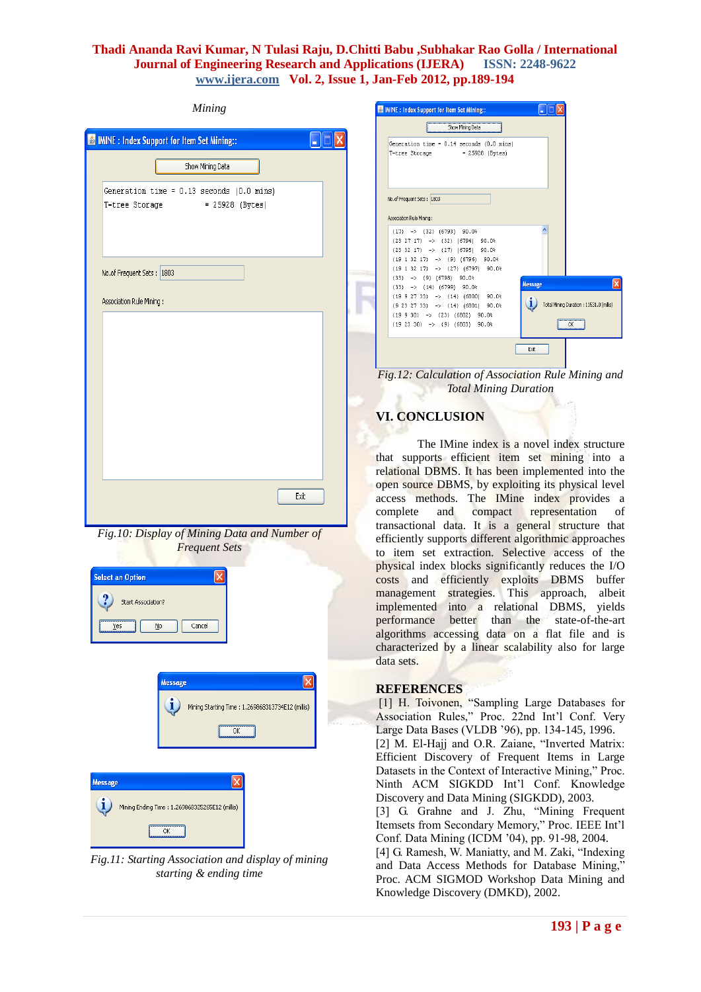#### *Mining*

| IMINE: Index Support for Item Set Mining::                                                        |
|---------------------------------------------------------------------------------------------------|
| Show Mining Data                                                                                  |
| Generation time = 0.13 seconds (0.0 mins)<br>T-tree Storage = 25928 (Bytes)                       |
| No.of Frequent Sets : 1803                                                                        |
| Association Rule Mining :                                                                         |
|                                                                                                   |
| Exit<br>Fig.10: Display of Mining Data and Number of<br><b>Frequent Sets</b>                      |
| <b>Select an Option</b><br>$\boldsymbol{\mathsf{x}}$<br>Start Association?<br>Cancel<br>Yes<br>Ņο |
| ×<br><b>Message</b><br>i<br>Mining Starting Time: 1.269868313734E12 (millis)<br>ОК                |
| ×<br><b>Message</b><br>i<br>Mining Ending Time: 1.269868325265E12 (millis)                        |

*Fig.11: Starting Association and display of mining starting & ending time*



*Fig.12: Calculation of Association Rule Mining and Total Mining Duration*

#### **VI. CONCLUSION**

The IMine index is a novel index structure that supports efficient item set mining into a relational DBMS. It has been implemented into the open source DBMS, by exploiting its physical level access methods. The IMine index provides a complete and compact representation of transactional data. It is a general structure that efficiently supports different algorithmic approaches to item set extraction. Selective access of the physical index blocks significantly reduces the I/O costs and efficiently exploits DBMS buffer management strategies. This approach, albeit implemented into a relational DBMS, yields performance better than the state-of-the-art algorithms accessing data on a flat file and is characterized by a linear scalability also for large data sets.

## **REFERENCES**

[1] H. Toivonen, "Sampling Large Databases for Association Rules," Proc. 22nd Int'l Conf. Very Large Data Bases (VLDB '96), pp. 134-145, 1996. [2] M. El-Hajj and O.R. Zaiane, "Inverted Matrix: Efficient Discovery of Frequent Items in Large Datasets in the Context of Interactive Mining," Proc. Ninth ACM SIGKDD Int'l Conf. Knowledge Discovery and Data Mining (SIGKDD), 2003.

[3] G. Grahne and J. Zhu, "Mining Frequent Itemsets from Secondary Memory," Proc. IEEE Int'l Conf. Data Mining (ICDM '04), pp. 91-98, 2004.

[4] G. Ramesh, W. Maniatty, and M. Zaki, "Indexing and Data Access Methods for Database Mining," Proc. ACM SIGMOD Workshop Data Mining and Knowledge Discovery (DMKD), 2002.